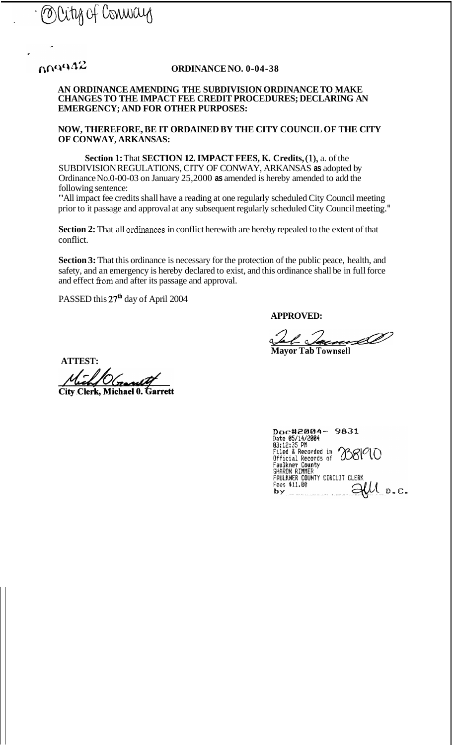

# $0.0942$

### **ORDINANCE NO. 0-04-38**

#### **AN ORDINANCE AMENDING THE SUBDIVISION ORDINANCE TO MAKE CHANGES TO THE IMPACT FEE CREDIT PROCEDURES; DECLARING AN EMERGENCY; AND FOR OTHER PURPOSES:**

**NOW, THEREFORE, BE IT ORDAINED BY THE CITY COUNCIL OF THE CITY OF CONWAY, ARKANSAS:** 

**Section 1: That SECTION 12. IMPACT FEES, K. Credits, (1), a. of the** SUBDIVISION REGULATIONS, CITY OF CONWAY, ARKANSAS **as** adopted by Ordinance No.0-00-03 on January 25,2000 **as** amended is hereby amended to add the following sentence:

"All impact fee credits shall have a reading at one regularly scheduled City Council meeting prior to it passage and approval at any subsequent regularly scheduled City Council meeting."

**Section 2:** That all ordinances in conflict herewith are hereby repealed to the extent of that conflict.

**Section 3:** That this ordinance is necessary for the protection of the public peace, health, and safety, and an emergency is hereby declared to exist, and this ordinance shall be in full force and effect fiom and after its passage and approval.

PASSED this  $27<sup>th</sup>$  day of April 2004

**APPROVED:** 

AL <u>Jacques</u> 2007

**ATTEST:** 

City Clerk. Michael 0. Garrett

| <b>9831</b><br>Doc#2004-                       |
|------------------------------------------------|
| Date 05/14/2004                                |
| 03:12:35 PM                                    |
| Filed & Recorded in $O80^\circ$                |
|                                                |
| Faulkner County                                |
| SHARON RIMMER                                  |
| FAULKNER COUNTY CIRCUIT CLERK                  |
| Fees \$11.00                                   |
| decomposition and concerning the company's use |
|                                                |